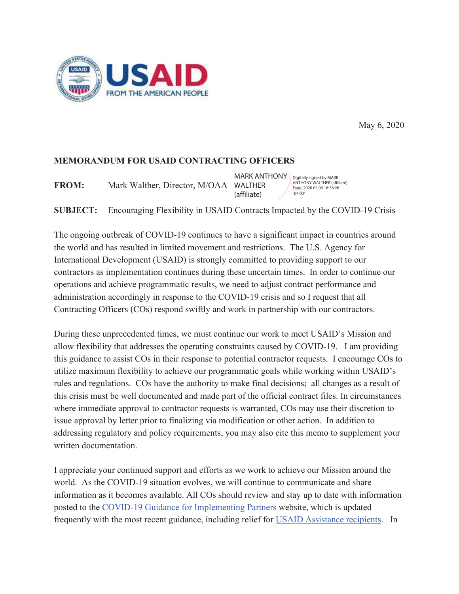

May 6, 2020

## **MEMORANDUM FOR USAID CONTRACTING OFFICERS**

**FROM:** Mark Walther, Director, M/OAA WALTHER (affiliate)

MARK ANTHONY Digitally signed by MARK ANTHONY WALTHER (affiliate) Date: 2020.05.06 16:38:26  $-04'00$ 

Encouraging Flexibility in USAID Contracts Impacted by the COVID-19 Crisis **SUBJECT:** 

The ongoing outbreak of COVID-19 continues to have a significant impact in countries around the world and has resulted in limited movement and restrictions. The U.S. Agency for International Development (USAID) is strongly committed to providing support to our contractors as implementation continues during these uncertain times. In order to continue our operations and achieve programmatic results, we need to adjust contract performance and administration accordingly in response to the COVID-19 crisis and so I request that all Contracting Officers (COs) respond swiftly and work in partnership with our contractors.

During these unprecedented times, we must continue our work to meet USAID's Mission and allow flexibility that addresses the operating constraints caused by COVID-19. I am providing this guidance to assist COs in their response to potential contractor requests. I encourage COs to utilize maximum flexibility to achieve our programmatic goals while working within USAID's rules and regulations. COs have the authority to make final decisions; all changes as a result of this crisis must be well documented and made part of the official contract files. In circumstances where immediate approval to contractor requests is warranted, COs may use their discretion to issue approval by letter prior to finalizing via modification or other action. In addition to addressing regulatory and policy requirements, you may also cite this memo to supplement your written documentation.

I appreciate your continued support and efforts as we work to achieve our Mission around the world. As the COVID-19 situation evolves, we will continue to communicate and share information as it becomes available. All COs should review and stay up to date with information posted to the COVID-19 Guidance for Implementing Partners website, which is updated frequently with the most recent guidance, including relief for USAID Assistance recipients. In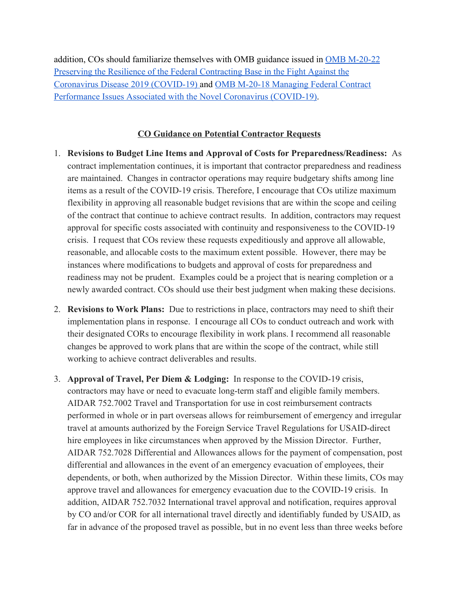addition, COs should familiarize themselves with OMB guidance issued in [OMB M-20-22](https://www.whitehouse.gov/wp-content/uploads/2020/04/M-20-22.pdf) [Preserving the Resilience of the Federal Contracting Base in the Fight Against the](https://www.whitehouse.gov/wp-content/uploads/2020/04/M-20-22.pdf) [Coronavirus Disease 2019 \(COVID-19\) a](https://www.whitehouse.gov/wp-content/uploads/2020/04/M-20-22.pdf)nd [OMB M-20-18 Managing Federal Contract](https://www.whitehouse.gov/wp-content/uploads/2020/03/M-20-18.pdf) [Performance Issues Associated with the Novel Coronavirus \(COVID-19\).](https://www.whitehouse.gov/wp-content/uploads/2020/03/M-20-18.pdf)

## **CO Guidance on Potential Contractor Requests**

- 1. **Revisions to Budget Line Items and Approval of Costs for Preparedness/Readiness:** As contract implementation continues, it is important that contractor preparedness and readiness are maintained. Changes in contractor operations may require budgetary shifts among line items as a result of the COVID-19 crisis. Therefore, I encourage that COs utilize maximum flexibility in approving all reasonable budget revisions that are within the scope and ceiling of the contract that continue to achieve contract results. In addition, contractors may request approval for specific costs associated with continuity and responsiveness to the COVID-19 crisis. I request that COs review these requests expeditiously and approve all allowable, reasonable, and allocable costs to the maximum extent possible. However, there may be instances where modifications to budgets and approval of costs for preparedness and readiness may not be prudent. Examples could be a project that is nearing completion or a newly awarded contract. COs should use their best judgment when making these decisions.
- 2. **Revisions to Work Plans:** Due to restrictions in place, contractors may need to shift their implementation plans in response. I encourage all COs to conduct outreach and work with their designated CORs to encourage flexibility in work plans. I recommend all reasonable changes be approved to work plans that are within the scope of the contract, while still working to achieve contract deliverables and results.
- 3. **Approval of Travel, Per Diem & Lodging:** In response to the COVID-19 crisis, contractors may have or need to evacuate long-term staff and eligible family members. AIDAR 752.7002 Travel and Transportation for use in cost reimbursement contracts performed in whole or in part overseas allows for reimbursement of emergency and irregular travel at amounts authorized by the Foreign Service Travel Regulations for USAID-direct hire employees in like circumstances when approved by the Mission Director. Further, AIDAR 752.7028 Differential and Allowances allows for the payment of compensation, post differential and allowances in the event of an emergency evacuation of employees, their dependents, or both, when authorized by the Mission Director. Within these limits, COs may approve travel and allowances for emergency evacuation due to the COVID-19 crisis. In addition, AIDAR 752.7032 International travel approval and notification, requires approval by CO and/or COR for all international travel directly and identifiably funded by USAID, as far in advance of the proposed travel as possible, but in no event less than three weeks before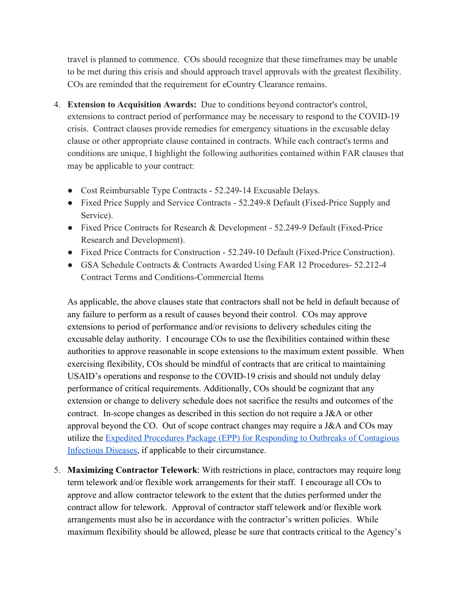travel is planned to commence. COs should recognize that these timeframes may be unable to be met during this crisis and should approach travel approvals with the greatest flexibility. COs are reminded that the requirement for eCountry Clearance remains.

- 4. **Extension to Acquisition Awards:** Due to conditions beyond contractor's control, extensions to contract period of performance may be necessary to respond to the COVID-19 crisis. Contract clauses provide remedies for emergency situations in the excusable delay clause or other appropriate clause contained in contracts. While each contract's terms and conditions are unique, I highlight the following authorities contained within FAR clauses that may be applicable to your contract:
	- Cost Reimbursable Type Contracts 52.249-14 Excusable Delays.
	- Fixed Price Supply and Service Contracts 52.249-8 Default (Fixed-Price Supply and Service).
	- Fixed Price Contracts for Research & Development 52.249-9 Default (Fixed-Price Research and Development).
	- Fixed Price Contracts for Construction 52.249-10 Default (Fixed-Price Construction).
	- GSA Schedule Contracts & Contracts Awarded Using FAR 12 Procedures- 52.212-4 Contract Terms and Conditions-Commercial Items

As applicable, the above clauses state that contractors shall not be held in default because of any failure to perform as a result of causes beyond their control. COs may approve extensions to period of performance and/or revisions to delivery schedules citing the excusable delay authority. I encourage COs to use the flexibilities contained within these authorities to approve reasonable in scope extensions to the maximum extent possible. When exercising flexibility, COs should be mindful of contracts that are critical to maintaining USAID's operations and response to the COVID-19 crisis and should not unduly delay performance of critical requirements. Additionally, COs should be cognizant that any extension or change to delivery schedule does not sacrifice the results and outcomes of the contract. In-scope changes as described in this section do not require a J&A or other approval beyond the CO. Out of scope contract changes may require a J&A and COs may utilize the [Expedited Procedures Package \(EPP\) for Responding to Outbreaks of Contagious](https://www.usaid.gov/work-usaid/resources-for-partners/covid-19-guidance-implementing-partners/expedited-procedures-package-epp) [Infectious Diseases,](https://www.usaid.gov/work-usaid/resources-for-partners/covid-19-guidance-implementing-partners/expedited-procedures-package-epp) if applicable to their circumstance.

5. **Maximizing Contractor Telework**: With restrictions in place, contractors may require long term telework and/or flexible work arrangements for their staff. I encourage all COs to approve and allow contractor telework to the extent that the duties performed under the contract allow for telework. Approval of contractor staff telework and/or flexible work arrangements must also be in accordance with the contractor's written policies. While maximum flexibility should be allowed, please be sure that contracts critical to the Agency's